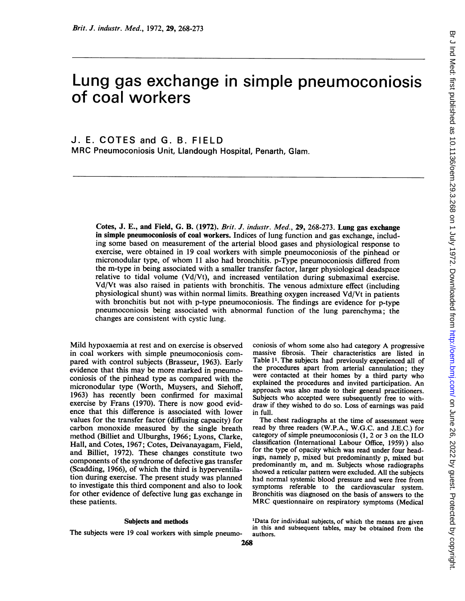# Lung gas exchange in simple pneumoconiosis of coal workers

J. E. COTES and G. B. FIELD MRC Pneumoconiosis Unit, Llandough Hospital, Penarth, Glam.

Cotes, J. E., and Field, G. B. (1972). Brit. J. industr. Med., 29, 268-273. Lung gas exchange in simple pneumoconiosis of coal workers. Indices of lung function and gas exchange, including some based on measurement of the arterial blood gases and physiological response to exercise, were obtained in 19 coal workers with simple pneumoconiosis of the pinhead or micronodular type, of whom <sup>11</sup> also had bronchitis. p-Type pneumoconiosis differed from the m-type in being associated with a smaller transfer factor, larger physiological deadspace relative to tidal volume (Vd/Vt), and increased ventilation during submaximal exercise. Vd/Vt was also raised in patients with bronchitis. The venous admixture effect (including physiological shunt) was within normal limits. Breathing oxygen increased Vd/Vt in patients with bronchitis but not with p-type pneumoconiosis. The findings are evidence for p-type pneumoconiosis being associated with abnormal function of the lung parenchyma; the changes are consistent with cystic lung.

Mild hypoxaemia at rest and on exercise is observed in coal workers with simple pneumoconiosis compared with control subjects (Brasseur, 1963). Early evidence that this may be more marked in pneumoconiosis of the pinhead type as compared with the micronodular type (Worth, Muysers, and Siehoff, 1963) has recently been confirmed for maximal exercise by Frans (1970). There is now good evidence that this difference is associated with lower values for the transfer factor (diffusing capacity) for carbon monoxide measured by the single breath method (Billiet and Ulburghs, 1966; Lyons, Clarke, Hall, and Cotes, 1967; Cotes, Deivanayagam, Field, and Billiet, 1972). These changes constitute two components of the syndrome of defective gas transfer (Scadding, 1966), of which the third is hyperventilation during exercise. The present study was planned to investigate this third component and also to look for other evidence of defective lung gas exchange in these patients.

#### Subjects and methods

The subjects were 19 coal workers with simple pneumo-

coniosis of whom some also had category A progressive massive fibrosis. Their characteristics are listed in Table 11. The subjects had previously experienced all of the procedures apart from arterial cannulation; they were contacted at their homes by a third party who explained the procedures and invited participation. An approach was also made to their general practitioners. Subjects who accepted were subsequently free to withdraw if they wished to do so. Loss of earnings was paid in full.

The chest radiographs at the time of assessment were read by three readers (W.P.A., W.G.C. and J.E.C.) for category of simple pneumoconiosis (1, 2 or <sup>3</sup> on the ILO classification (International Labour Office, 1959)) also for the type of opacity which was read under four headings, namely p, mixed but predominantly p, mixed but predominantly m, and m. Subjects whose radiographs showed a reticular pattern were excluded. All the subjects had normal systemic blood pressure and were free from symptoms referable to the cardiovascular system. Bronchitis was diagnosed on the basis of answers to the MRC questionnaire on respiratory symptoms (Medical

'Data for individual subjects, of which the means are given in this and subsequent tables, may be obtained from the authors.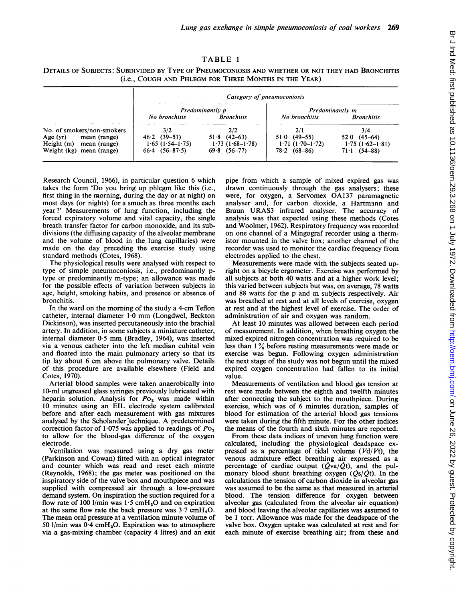|                                                        | Category of pneumoconiosis                   |                                            |                                       |                                                     |  |  |  |
|--------------------------------------------------------|----------------------------------------------|--------------------------------------------|---------------------------------------|-----------------------------------------------------|--|--|--|
|                                                        |                                              | Predominantly p                            | Predominantly m                       |                                                     |  |  |  |
|                                                        | No bronchitis                                | <b>Bronchitis</b>                          | No bronchitis                         | <b>Bronchitis</b>                                   |  |  |  |
| No. of smokers/non-smokers<br>Age (yr)<br>mean (range) | 3/2<br>$46.2$ (39-51)                        | 2/2<br>$51.8$ $(42-63)$                    | 2/1<br>$51 \cdot 0$ $(49-55)$         | 3/4<br>$52.0$ $(45-64)$                             |  |  |  |
| Height (m)<br>mean (range)<br>Weight (kg) mean (range) | $1.65$ ( $1.54-1.75$ )<br>$66.4$ $(56-87.5)$ | $1.73$ $(1.68 - 1.78)$<br>$69.8$ $(56-77)$ | $1.71(1.70-1.72)$<br>$78.2 (68 - 86)$ | $1.75(1.62 - 1.81)$<br>$71 \cdot 1 \quad (54 - 88)$ |  |  |  |

DETAILS OF SUBJECTS: SUBDIVIDED BY TYPE OF PNEUMOCONIOSIS AND WHETHER OR NOT THEY HAD BRONCHITIS (i.e., COUGH AND PHLEGM FOR THREE MONTHS IN THE YEAR)

Research Council, 1966), in particular question 6 which takes the form 'Do you bring up phlegm like this (i.e., first thing in the morning, during the day or at night) on most days (or nights) for a smuch as three months each year?' Measurements of lung function, including the forced expiratory volume and vital capacity, the single breath transfer factor for carbon monoxide, and its subdivisions (the diffusing capacity of the alveolar membrane and the volume of blood in the lung capillaries) were made on the day preceding the exercise study using standard methods (Cotes, 1968).

The physiological results were analysed with respect to type of simple pneumoconiosis, i.e., predominantly ptype or predominantly m-type; an allowance was made for the possible effects of variation between subjects in age, height, smoking habits, and presence or absence of bronchitis.

In the ward on the morning of the study a 4-cm Teflon catheter, internal diameter 10 mm (Longdwel, Beckton Dickinson), was inserted percutaneously into the brachial artery. In addition, in some subjects a miniature catheter, internal diameter <sup>0</sup> <sup>5</sup> mm (Bradley, 1964), was inserted via a venous catheter into the left median cubital vein and floated into the main pulmonary artery so that its tip lay about 6 cm above the pulmonary valve. Details of this procedure are available elsewhere (Field and Cotes, 1970).

Arterial blood samples were taken anaerobically into 10-ml ungreased glass syringes previously lubricated with heparin solution. Analysis for  $P_0$  was made within 10 minutes using an EIL electrode system calibrated before and after each measurement with gas mixtures analysed by the Scholander technique. A predetermined correction factor of 1.075 was applied to readings of  $P_{0_2}$ to allow for the blood-gas difference of the oxygen electrode.

Ventilation was measured using a dry gas meter (Parkinson and Cowan) fitted with an optical integrator and counter which was read and reset each minute (Reynolds, 1968); the gas meter was positioned on the inspiratory side of the valve box and mouthpiece and was supplied with compressed air through a low-pressure demand system. On inspiration the suction required for a flow rate of 100 l/min was  $1.5 \text{ cm}H<sub>2</sub>O$  and on expiration at the same flow rate the back pressure was  $3.7 \text{ cm}H_2O$ . The mean oral pressure at a ventilation minute volume of 50  $1/\text{min}$  was  $0.4 \text{ cm}H<sub>2</sub>O$ . Expiration was to atmosphere via a gas-mixing chamber (capacity 4 litres) and an exit

pipe from which a sample of mixed expired gas was drawn continuously through the gas analysers; these were, for oxygen, a Servomex OA137 paramagnetic analyser and, for carbon dioxide, a Hartmann and Braun URAS3 infrared analyser. The accuracy of analysis was that expected using these methods (Cotes and Woolmer, 1962). Respiratory frequency was recorded on one channel of a Mingograf recorder using a thermistor mounted in the valve box; another channel of the recorder was used to monitor the cardiac frequency from electrodes applied to the chest.

Measurements were made with the subjects seated upright on a bicycle ergometer. Exercise was performed by all subjects at both 40 watts and at a higher work level; this varied between subjects but was, on average, 78 watts and <sup>88</sup> watts for the <sup>p</sup> and m subjects respectively. Air was breathed at rest and at all levels of exercise, oxygen at rest and at the highest level of exercise. The order of administration of air and oxygen was random.

At least 10 minutes was allowed between each period of measurement. In addition, when breathing oxygen the mixed expired nitrogen concentration was required to be less than 1% before resting measurements were made or exercise was begun. Following oxygen administration the next stage of the study was not begun until the mixed expired oxygen concentration had fallen to its initial value.

Measurements of ventilation and blood gas tension at rest were made between the eighth and twelfth minutes after connecting the subject to the mouthpiece. During exercise, which was of 6 minutes duration, samples of blood for estimation of the arterial blood gas tensions were taken during the fifth minute. For the other indices the means of the fourth and sixth minutes are reported.

From these data indices of uneven lung function were calculated, including the physiological deadspace expressed as a percentage of tidal volume  $(Vd/Vt)$ , the venous admixture effect breathing air expressed as a percentage of cardiac output  $(\dot{Q}va/\dot{Q}t)$ , and the pulmonary blood shunt breathing oxygen  $(\dot{Q}_s/\dot{Q}_t)$ . In the calculations the tension of carbon dioxide in alveolar gas was assumed to be the same as that measured in arterial blood. The tension difference for oxygen between alveolar gas (calculated from the alveolar air equation) and blood leaving the alveolar capillaries was assumed to be <sup>1</sup> torr. Allowance was made for the deadspace of the valve box. Oxygen uptake was calculated at rest and for each minute of exercise breathing air; from these and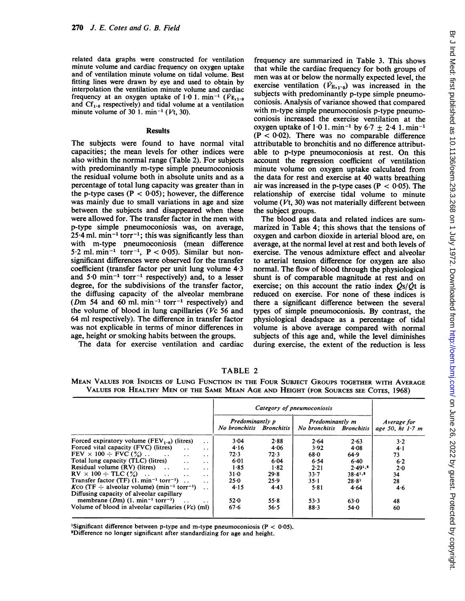related data graphs were constructed for ventilation minute volume and cardiac frequency on oxygen uptake and of ventilation minute volume on tidal volume. Best fitting lines were drawn by eye and used to obtain by interpolation the ventilation minute volume and cardiac frequency at an oxygen uptake of 1.0 1. min<sup>-1</sup> ( $\dot{V}E_{1,1.0}$ ) and  $Cf_{1.0}$  respectively) and tidal volume at a ventilation minute volume of 30 1. min<sup>-1</sup> ( $Vt$ , 30).

### **Results**

The subjects were found to have normal vital capacities; the mean levels for other indices were also within the normal range (Table 2). For subjects with predominantly m-type simple pneumoconiosis the residual volume both in absolute units and as a percentage of total lung capacity was greater than in the p-type cases  $(P < 0.05)$ ; however, the difference was mainly due to small variations in age and size between the subjects and disappeared when these were allowed for. The transfer factor in the men with p-type simple pneumoconiosis was, on average,  $25·4$  ml. min<sup>-1</sup> torr<sup>-1</sup>; this was significantly less than with m-type pneumoconiosis (mean difference 5.2 ml. min<sup>-1</sup> torr<sup>-1</sup>, P < 0.05). Similar but nonsignificant differences were observed for the transfer coefficient (transfer factor per unit lung volume 4-3 and  $5.0 \text{ min}^{-1}$  torr<sup>-1</sup> respectively) and, to a lesser degree, for the subdivisions of the transfer factor, the diffusing capacity of the alveolar membrane (Dm 54 and 60 ml. min<sup>-1</sup> torr<sup>-1</sup> respectively) and the volume of blood in lung capillaries (Vc 56 and 64 ml respectively). The difference in transfer factor was not explicable in terms of minor differences in age, height or smoking habits between the groups.

The data for exercise ventilation and cardiac

frequency are summarized in Table 3. This shows that while the cardiac frequency for both groups of men was at or below the normally expected level, the exercise ventilation  $(\dot{V}_{\text{E},1.0})$  was increased in the subjects with predominantly p-type simple pneumoconiosis. Analysis of variance showed that compared with m-type simple pneumoconiosis p-type pneumoconiosis increased the exercise ventilation at the oxygen uptake of 1.0 1. min<sup>-1</sup> by 6.7  $\pm$  2.4 1. min<sup>-1</sup>  $(P < 0.02)$ . There was no comparable difference attributable to bronchitis and no difference attributable to p-type pneumoconiosis at rest. On this account the regression coefficient of ventilation minute volume on oxygen uptake calculated from the data for rest and exercise at 40 watts breathing air was increased in the p-type cases ( $P < 0.05$ ). The relationship of exercise tidal volume to minute volume (Vt, 30) was not materially different between the subject groups.

The blood gas data and related indices are summarized in Table 4; this shows that the tensions of oxygen and carbon dioxide in arterial blood are, on average, at the normal level at rest and both levels of exercise. The venous admixture effect and alveolar to arterial tension difference for oxygen are also normal. The flow of blood through the physiological shunt is of comparable magnitude at rest and on exercise; on this account the ratio index  $Qs/Qt$  is reduced on exercise. For none of these indices is there a significant difference between the several types of simple pneumoconiosis. By contrast, the physiological deadspace as a percentage of tidal volume is above average compared with normal subjects of this age and, while the level diminishes during exercise, the extent of the reduction is less

TABLE <sup>2</sup>

MEAN VALUES FOR INDICES OF LUNG FUNCTION IN THE FOUR SUBJECT GROUPS TOGETHER WITH AVERAGE VALUES FOR HEALTHY MEN OF THE SAME MEAN AGE AND HEIGHT (FOR SOURCES SEE COTES, 1968)

|                                                                                                                | Category of pneumoconiosis |                                                                                            |          |         |                                   |  |
|----------------------------------------------------------------------------------------------------------------|----------------------------|--------------------------------------------------------------------------------------------|----------|---------|-----------------------------------|--|
|                                                                                                                |                            | Predominantly p<br>Predominantly m<br>No bronchitis Bronchitis<br>No bronchitis Bronchitis |          |         | Average for<br>age 50, ht $1.7$ m |  |
| Forced expiratory volume $(FEV_{1,0})$ (litres)<br>$\ddotsc$                                                   | 3.04                       | 2.88                                                                                       | 2.64     | 2.63    | $3-2$                             |  |
| Forced vital capacity (FVC) (litres)<br>$\ddotsc$<br>$\ddotsc$                                                 | 4.16                       | 4.06                                                                                       | 3.92     | 4.08    | $4-1$                             |  |
| $FEV \times 100 \div FVC$ (%).<br>$\sim$ 100 $\sim$ 100 $\sim$<br>$\ddot{\phantom{a}}$<br>$\ddot{\phantom{0}}$ | 72.3                       | 72.3                                                                                       | 68.0     | 64.9    | 73                                |  |
| Total lung capacity (TLC) (litres)<br>$\sim$ $\sim$<br>$\ddot{\phantom{a}}$                                    | 6.01                       | 6.04                                                                                       | 6.54     | 6.40    | $6-2$                             |  |
| Residual volume (RV) (litres)<br>$\ddot{\phantom{0}}$<br>$\ddot{\phantom{0}}$                                  | 1.85                       | 1.82                                                                                       | 2.21     | 2.491,3 | 2.0                               |  |
| $RV \times 100 \div TLC$ (%)<br>$\ddotsc$<br>$\sim$                                                            | 31.0                       | 29.8                                                                                       | 33.7     | 38.41.2 | 34                                |  |
| Transfer factor (TF) $(1. \text{min}^{-1} \text{ torr}^{-1})$ .<br>$\sim$                                      | 25.0                       | 25.9                                                                                       | $35 - 1$ | 28.81   | 28                                |  |
| $K_{\rm CO}$ (TF $\div$ alveolar volume) (min <sup>-1</sup> torr <sup>-1</sup> )                               | 4.15                       | 4.43                                                                                       | 5.81     | 4.64    | 4.6                               |  |
| Diffusing capacity of alveolar capillary                                                                       |                            |                                                                                            |          |         |                                   |  |
| membrane $(Dm)$ $(1. \text{ min}^{-1} \text{ torr}^{-1})$                                                      | 52.0                       | 55.8                                                                                       | 53.3     | 63.0    | 48                                |  |
| Volume of blood in alveolar capillaries $(Vc)$ (ml)                                                            | 67.6                       | 56.5                                                                                       | 88.3     | 54.0    | 60                                |  |

<sup>1</sup>Significant difference between p-type and m-type pneumoconiosis ( $P < 0.05$ ).

<sup>2</sup>Difference no longer significant after standardizing for age and height.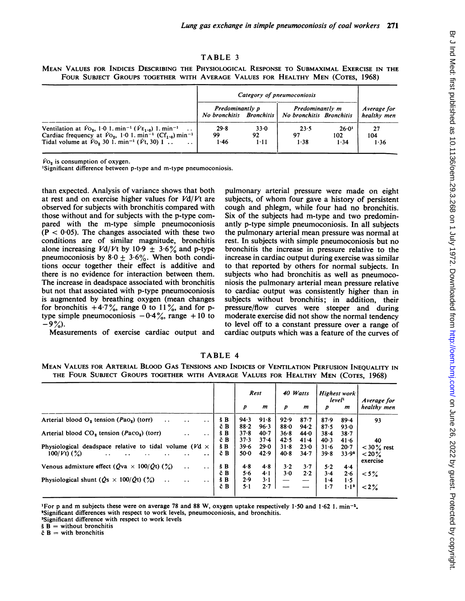TABLE <sup>3</sup>

|                                                                                                                                                                                                                                                                                                                                  | Category of pneumoconiosis |                        |                                                                        |                      |                            |
|----------------------------------------------------------------------------------------------------------------------------------------------------------------------------------------------------------------------------------------------------------------------------------------------------------------------------------|----------------------------|------------------------|------------------------------------------------------------------------|----------------------|----------------------------|
|                                                                                                                                                                                                                                                                                                                                  | Predominantly p            |                        | Predominantly m<br>No bronchitis Bronchitis   No bronchitis Bronchitis |                      | Average for<br>healthy men |
| Ventilation at $\dot{V}_{\text{O}_2}$ , 1.0 1. min <sup>-1</sup> ( $\dot{V}_{\text{E}_{1.0}}$ ) 1. min <sup>-1</sup><br>Cardiac frequency at $\dot{V}$ O <sub>2</sub> , 1.0 1. min <sup>-1</sup> (Cf <sub>1.0</sub> ) min <sup>-1</sup><br>Tidal volume at $\dot{V}$ O <sub>2</sub> 30 1. min <sup>-1</sup> ( $\dot{V}$ t, 30) 1 | 29.8<br>99<br>1.46         | 33.0<br>92<br>$1 - 11$ | 23.5<br>97<br>1.38                                                     | 26.01<br>102<br>1.34 | 27<br>104<br>1.36          |

MEAN VALUES FOR INDICES DESCRIBING THE PHYSIOLOGICAL RESPONSE TO SUBMAXIMAL EXERCISE IN THE FOUR SUBJECT GROUPS TOGETHER WITH AVERAGE VALUES FOR HEALTHY MEN (COTES, 1968)

 $\dot{V}$ O<sub>2</sub> is consumption of oxygen.

'Significant difference between p-type and m-type pneumoconiosis.

than expected. Analysis of variance shows that both at rest and on exercise higher values for Vd/Vt are observed for subjects with bronchitis compared with those without and for subjects with the p-type compared with the m-type simple pneumoconiosis  $(P < 0.05)$ . The changes associated with these two conditions are of similar magnitude, bronchitis alone increasing  $Vd/Vt$  by 10.9  $\pm$  3.6% and p-type pneumoconiosis by  $8.0 \pm 3.6\%$ . When both conditions occur together their effect is additive and there is no evidence for interaction between them. The increase in deadspace associated with bronchitis but not that associated with p-type pneumoconiosis is augmented by breathing oxygen (mean changes for bronchitis  $+4.7\%$ , range 0 to 11%, and for ptype simple pneumoconiosis  $-0.4\%$ , range +10 to  $-9\%$ ).

antly p-type simple pneumoconiosis. In all subjects the pulmonary arterial mean pressure was normal at rest. In subjects with simple pneumoconiosis but no bronchitis the increase in pressure relative to the increase in cardiac output during exercise was similar to that reported by others for normal subjects. In subjects who had bronchitis as well as pneumoconiosis the pulmonary arterial mean pressure relative to cardiac output was consistently higher than in subjects without bronchitis; in addition, their pressure/flow curves were steeper and during moderate exercise did not show the normal tendency to level off to a constant pressure over a range of cardiac outputs which was a feature of the curves of

pulmonary arterial pressure were made on eight subjects, of whom four gave a history of persistent cough and phlegm, while four had no bronchitis. Six of the subjects had m-type and two predomin-

Measurements of exercise cardiac output and

## TABLE <sup>4</sup>

MEAN VALUES FOR ARTERIAL BLOOD GAS TENSIONS AND INDICES OF VENrILATION PERFUSION INEQUALITY IN THE FOUR SUBJECT GROUPS TOGETHER WITH AVERAGE VALUES FOR HEALTHY MEN (CoTES, 1968)

|                                                                                                                                    |    | Rest             |                  | 40 Watts |          | <b>Highest work</b><br>level <sup>1</sup> |                  | Average for      |
|------------------------------------------------------------------------------------------------------------------------------------|----|------------------|------------------|----------|----------|-------------------------------------------|------------------|------------------|
|                                                                                                                                    |    | $\boldsymbol{p}$ | $\boldsymbol{m}$ | p        | m        | р                                         | $\boldsymbol{m}$ | healthy men      |
| Arterial blood O <sub>2</sub> tension (Pao <sub>2</sub> ) (torr)<br>$\ddot{\phantom{0}}$<br>$\ddotsc$                              | šB | 94.3             | 91.8             | 92.9     | $87 - 7$ | 87.9                                      | 89.4             | 93               |
|                                                                                                                                    | čВ | 88.2             | 96.3             | $88 - 0$ | 94.2     | 87.5                                      | 93.0             |                  |
| Arterial blood CO <sub>2</sub> tension (Paco <sub>2</sub> ) (torr)<br>$\ddot{\phantom{0}}$<br>$\ddot{\phantom{0}}$                 | šВ | 37.8             | 40.7             | $36 - 8$ | 44.0     | $38 - 4$                                  | $38 - 7$         |                  |
|                                                                                                                                    | čВ | 37.3             | 37.4             | 42.5     | 41.4     | 40.3                                      | 41.6             | 40               |
| Physiological deadspace relative to tidal volume ( $Vd \times$                                                                     |    | 39.6             | 29.0             | $31 - 8$ | 23.0     | $31 - 6$                                  | $20-7$           | $<$ 30 $\%$ rest |
| $100/Vt)$ (%)<br>$\ddot{\phantom{a}}$<br>. .                                                                                       | čВ | $50-0$           | 42.9             | 40.8     | 34.7     | 39.8                                      | $33.9^*$         | $< 20 \%$        |
|                                                                                                                                    |    |                  |                  |          |          |                                           |                  | exercise         |
| Venous admixture effect ( $Qva \times 100/\dot{Q}t$ ) (%)<br>$\ddot{\phantom{0}}$<br>$\ddot{\phantom{a}}$                          | šВ | 4.8              | 4.8              | 3.2      | 3.7      | 5.2                                       | 4.4              |                  |
|                                                                                                                                    | čВ | 5.6              | $4-1$            | $3-0$    | 2.2      | $3-4$                                     | 2.6              | $< 5\%$          |
| Physiological shunt ( $\dot{Q}s \times 100/\dot{Q}t$ ) (%)<br>$\ddot{\phantom{a}}$<br>$\ddot{\phantom{1}}$<br>$\ddot{\phantom{a}}$ | šВ | 2.9              | $3-1$            |          |          | 1.4                                       | 1.5              |                  |
|                                                                                                                                    | čВ | $5-1$            | 2.7              |          |          | $1-7$                                     | $1.1^3$          | $< 2\%$          |
|                                                                                                                                    |    |                  |                  |          |          |                                           |                  |                  |

'For <sup>p</sup> and m subjects these were on average <sup>78</sup> and <sup>88</sup> W, oxygen uptake respectively <sup>1</sup> <sup>50</sup> and 1-62 1. min-".

<sup>2</sup>Significant differences with respect to work levels, pneumoconiosis, and bronchitis.

3Significant difference with respect to work levels

 $\delta$  B = without bronchitis

 $\check{c}$  B = with bronchitis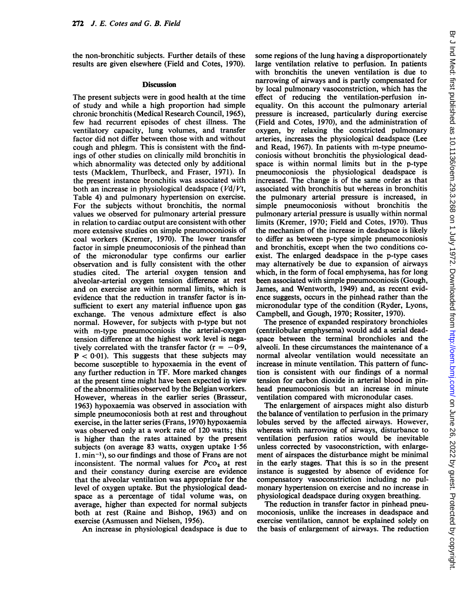the non-bronchitic subjects. Further details of these results are given elsewhere (Field and Cotes, 1970).

## **Discussion**

The present subjects were in good health at the time of study and while a high proportion had simple chronic bronchitis (Medical Research Council, 1965), few had recurrent episodes of chest illness. The ventilatory capacity, lung volumes, and transfer factor did not differ between those with and without cough and phlegm. This is consistent with the findings of other studies on clinically mild bronchitis in which abnormality was detected only by additional tests (Macklem, Thurlbeck, and Fraser, 1971). In the present instance bronchitis was associated with both an increase in physiological deadspace (Vd/Vt, Table 4) and pulmonary hypertension on exercise. For the subjects without bronchitis, the normal values we observed for pulmonary arterial pressure in relation to cardiac output are consistent with other more extensive studies on simple pneumoconiosis of coal workers (Kremer, 1970). The lower transfer factor in simple pneumoconiosis of the pinhead than of the micronodular type confirms our earlier observation and is fully consistent with the other studies cited. The arterial oxygen tension and alveolar-arterial oxygen tension difference at rest and on exercise are within normal limits, which is evidence that the reduction in transfer factor is insufficient to exert any material influence upon gas exchange. The venous admixture effect is also normal. However, for subjects with p-type but not with m-type pneumoconiosis the arterial-oxygen tension difference at the highest work level is negatively correlated with the transfer factor  $(r = -0.9,$  $P < 0.01$ ). This suggests that these subjects may become susceptible to hypoxaemia in the event of any further reduction in TF. More marked changes at the present time might have been expected in view of the abnormalities observed by the Belgian workers. However, whereas in the earlier series (Brasseur, 1963) hypoxaemia was observed in association with simple pneumoconiosis both at rest and throughout exercise, in the latter series (Frans, 1970) hypoxaemia was observed only at a work rate of 120 watts; this is higher than the rates attained by the present subjects (on average 83 watts, oxygen uptake  $1.56$  $1.$  min<sup>-1</sup>), so our findings and those of Frans are not inconsistent. The normal values for  $PCO<sub>2</sub>$  at rest and their constancy during exercise are evidence that the alveolar ventilation was appropriate for the level of oxygen uptake. But the physiological deadspace as a percentage of tidal volume was, on average, higher than expected for normal subjects both at rest (Raine and Bishop, 1963) and on exercise (Asmussen and Nielsen, 1956).

An increase in physiological deadspace is due to

some regions of the lung having a disproportionately large ventilation relative to perfusion. In patients with bronchitis the uneven ventilation is due to narrowing of airways and is partly compensated for by local pulmonary vasoconstriction, which has the effect of reducing the ventilation-perfusion inequality. On this account the pulmonary arterial pressure is increased, particularly during exercise (Field and Cotes, 1970), and the administration of oxygen, by relaxing the constricted pulmonary arteries, increases the physiological deadspace (Lee and Read, 1967). In patients with m-type pneumoconiosis without bronchitis the physiological deadspace is within normal limits but in the p-type pneumoconiosis the physiological deadspace is increased. The change is of the same order as that associated with bronchitis but whereas in bronchitis the pulmonary arterial pressure is increased, in simple pneumoconiosis without bronchitis the pulmonary arterial pressure is usually within normal limits (Kremer, 1970; Field and Cotes, 1970). Thus the mechanism of the increase in deadspace is likely to differ as between p-type simple pneumoconiosis and bronchitis, except when the two conditions coexist. The enlarged deadspace in the p-type cases may alternatively be due to expansion of airways which, in the form of focal emphysema, has for long been associated with simple pneumoconiosis (Gough, James, and Wentworth, 1949) and, as recent evidence suggests, occurs in the pinhead rather than the micronodular type of the condition (Ryder, Lyons, Campbell, and Gough, 1970; Rossiter, 1970).

The presence of expanded respiratory bronchioles (centrilobular emphysema) would add a serial deadspace between the terminal bronchioles and the alveoli. In these circumstances the maintenance of a normal alveolar ventilation would necessitate an increase in minute ventilation. This pattern of function is consistent with our findings of a normal tension for carbon dioxide in arterial blood in pinhead pneumoconiosis but an increase in minute ventilation compared with micronodular cases.

The enlargement of airspaces might also disturb the balance of ventilation to perfusion in the primary lobules served by the affected airways. However, whereas with narrowing of airways, disturbance to ventilation perfusion ratios would be inevitable unless corrected by vasoconstriction, with enlargement of airspaces the disturbance might be minimal in the early stages. That this is so in the present instance is suggested by absence of evidence for compensatory vasoconstriction including no pulmonary hypertension on exercise and no increase in physiological deadspace during oxygen breathing.

The reduction in transfer factor in pinhead pneumoconiosis, unlike the increases in deadspace and exercise ventilation, cannot be explained solely on the basis of enlargement of airways. The reduction